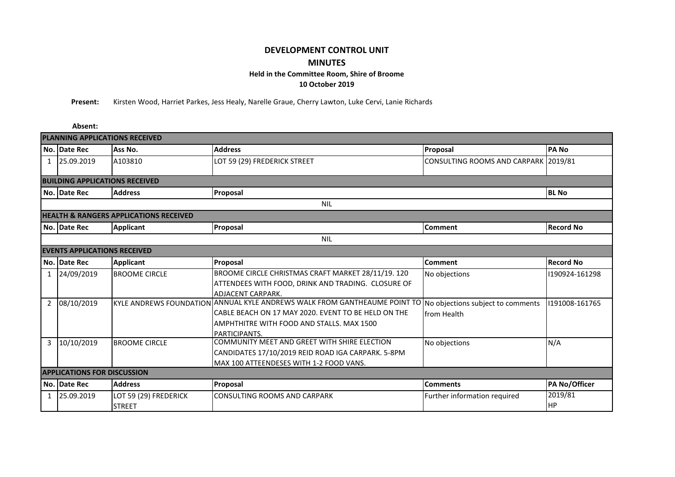## **DEVELOPMENT CONTROL UNIT MINUTES Held in the Committee Room, Shire of Broome**

**10 October 2019**

**Present:** Kirsten Wood, Harriet Parkes, Jess Healy, Narelle Graue, Cherry Lawton, Luke Cervi, Lanie Richards

|                                                   | Absent:                            |                       |                                                                                                             |                                      |                  |  |  |  |  |  |  |  |  |
|---------------------------------------------------|------------------------------------|-----------------------|-------------------------------------------------------------------------------------------------------------|--------------------------------------|------------------|--|--|--|--|--|--|--|--|
| <b>PLANNING APPLICATIONS RECEIVED</b>             |                                    |                       |                                                                                                             |                                      |                  |  |  |  |  |  |  |  |  |
|                                                   | No. Date Rec                       | Ass No.               | <b>Address</b>                                                                                              | Proposal                             | <b>PANO</b>      |  |  |  |  |  |  |  |  |
| $\mathbf{1}$                                      | 25.09.2019                         | A103810               | LOT 59 (29) FREDERICK STREET                                                                                | CONSULTING ROOMS AND CARPARK 2019/81 |                  |  |  |  |  |  |  |  |  |
| <b>BUILDING APPLICATIONS RECEIVED</b>             |                                    |                       |                                                                                                             |                                      |                  |  |  |  |  |  |  |  |  |
|                                                   | No. Date Rec                       | <b>Address</b>        | <b>BL No</b><br>Proposal                                                                                    |                                      |                  |  |  |  |  |  |  |  |  |
|                                                   | <b>NIL</b>                         |                       |                                                                                                             |                                      |                  |  |  |  |  |  |  |  |  |
| <b>HEALTH &amp; RANGERS APPLICATIONS RECEIVED</b> |                                    |                       |                                                                                                             |                                      |                  |  |  |  |  |  |  |  |  |
|                                                   | No. Date Rec                       | <b>Applicant</b>      | Proposal                                                                                                    | <b>Comment</b>                       | <b>Record No</b> |  |  |  |  |  |  |  |  |
|                                                   | <b>NIL</b>                         |                       |                                                                                                             |                                      |                  |  |  |  |  |  |  |  |  |
| <b>EVENTS APPLICATIONS RECEIVED</b>               |                                    |                       |                                                                                                             |                                      |                  |  |  |  |  |  |  |  |  |
|                                                   | No. Date Rec                       | <b>Applicant</b>      | Proposal                                                                                                    | <b>Comment</b>                       | <b>Record No</b> |  |  |  |  |  |  |  |  |
| $\mathbf{1}$                                      | 24/09/2019                         | <b>BROOME CIRCLE</b>  | BROOME CIRCLE CHRISTMAS CRAFT MARKET 28/11/19. 120                                                          | No objections                        | 1190924-161298   |  |  |  |  |  |  |  |  |
|                                                   |                                    |                       | ATTENDEES WITH FOOD, DRINK AND TRADING. CLOSURE OF                                                          |                                      |                  |  |  |  |  |  |  |  |  |
|                                                   |                                    |                       | <b>ADJACENT CARPARK.</b>                                                                                    |                                      |                  |  |  |  |  |  |  |  |  |
| $\overline{2}$                                    | 08/10/2019                         |                       | KYLE ANDREWS FOUNDATION ANNUAL KYLE ANDREWS WALK FROM GANTHEAUME POINT TO No objections subject to comments |                                      | 191008-161765    |  |  |  |  |  |  |  |  |
|                                                   |                                    |                       | from Health                                                                                                 |                                      |                  |  |  |  |  |  |  |  |  |
|                                                   |                                    |                       | AMPHTHITRE WITH FOOD AND STALLS. MAX 1500                                                                   |                                      |                  |  |  |  |  |  |  |  |  |
|                                                   |                                    |                       | PARTICIPANTS.                                                                                               |                                      |                  |  |  |  |  |  |  |  |  |
| 3                                                 | 10/10/2019                         | <b>BROOME CIRCLE</b>  | COMMUNITY MEET AND GREET WITH SHIRE ELECTION                                                                | No objections                        | N/A              |  |  |  |  |  |  |  |  |
|                                                   |                                    |                       | CANDIDATES 17/10/2019 REID ROAD IGA CARPARK. 5-8PM                                                          |                                      |                  |  |  |  |  |  |  |  |  |
|                                                   |                                    |                       | MAX 100 ATTEENDESES WITH 1-2 FOOD VANS.                                                                     |                                      |                  |  |  |  |  |  |  |  |  |
|                                                   | <b>APPLICATIONS FOR DISCUSSION</b> |                       |                                                                                                             |                                      |                  |  |  |  |  |  |  |  |  |
|                                                   | No. Date Rec                       | <b>Address</b>        | Proposal                                                                                                    | <b>Comments</b>                      | PA No/Officer    |  |  |  |  |  |  |  |  |
| $\mathbf{1}$                                      | 25.09.2019                         | LOT 59 (29) FREDERICK | <b>CONSULTING ROOMS AND CARPARK</b>                                                                         | Further information required         | 2019/81          |  |  |  |  |  |  |  |  |
|                                                   |                                    | <b>STREET</b>         |                                                                                                             |                                      | <b>HP</b>        |  |  |  |  |  |  |  |  |